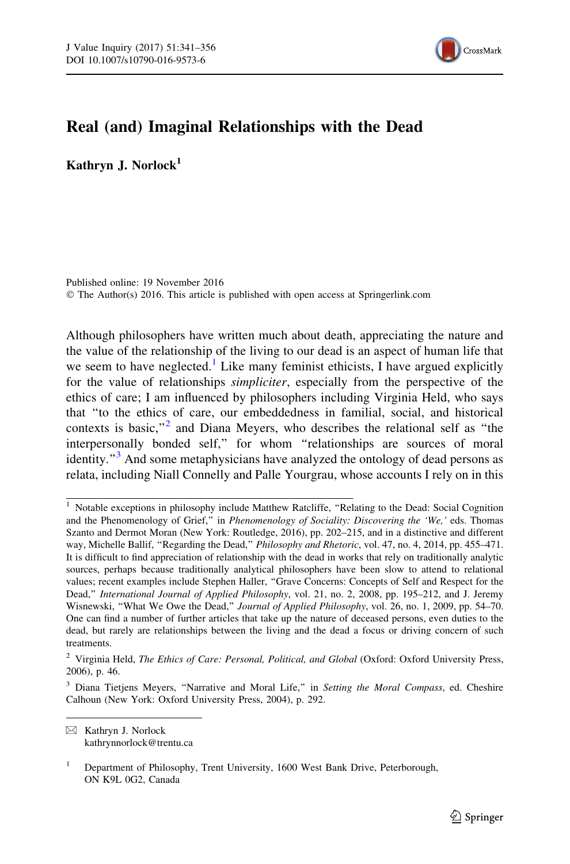

## Real (and) Imaginal Relationships with the Dead

Kathryn J. Norlock<sup>1</sup>

Published online: 19 November 2016 © The Author(s) 2016. This article is published with open access at Springerlink.com

Although philosophers have written much about death, appreciating the nature and the value of the relationship of the living to our dead is an aspect of human life that we seem to have neglected.<sup>1</sup> Like many feminist ethicists, I have argued explicitly for the value of relationships simpliciter, especially from the perspective of the ethics of care; I am influenced by philosophers including Virginia Held, who says that ''to the ethics of care, our embeddedness in familial, social, and historical contexts is basic,"<sup>2</sup> and Diana Meyers, who describes the relational self as "the interpersonally bonded self,'' for whom ''relationships are sources of moral identity. $\frac{1}{3}$  And some metaphysicians have analyzed the ontology of dead persons as relata, including Niall Connelly and Palle Yourgrau, whose accounts I rely on in this

 $\boxtimes$  Kathryn J. Norlock kathrynnorlock@trentu.ca

<sup>&</sup>lt;sup>1</sup> Notable exceptions in philosophy include Matthew Ratcliffe, "Relating to the Dead: Social Cognition and the Phenomenology of Grief," in Phenomenology of Sociality: Discovering the 'We,' eds. Thomas Szanto and Dermot Moran (New York: Routledge, 2016), pp. 202–215, and in a distinctive and different way, Michelle Ballif, "Regarding the Dead," *Philosophy and Rhetoric*, vol. 47, no. 4, 2014, pp. 455–471. It is difficult to find appreciation of relationship with the dead in works that rely on traditionally analytic sources, perhaps because traditionally analytical philosophers have been slow to attend to relational values; recent examples include Stephen Haller, ''Grave Concerns: Concepts of Self and Respect for the Dead,'' International Journal of Applied Philosophy, vol. 21, no. 2, 2008, pp. 195–212, and J. Jeremy Wisnewski, "What We Owe the Dead," Journal of Applied Philosophy, vol. 26, no. 1, 2009, pp. 54–70. One can find a number of further articles that take up the nature of deceased persons, even duties to the dead, but rarely are relationships between the living and the dead a focus or driving concern of such treatments.

 $2$  Virginia Held, The Ethics of Care: Personal, Political, and Global (Oxford: Oxford University Press, 2006), p. 46.

<sup>&</sup>lt;sup>3</sup> Diana Tietjens Meyers, "Narrative and Moral Life," in Setting the Moral Compass, ed. Cheshire Calhoun (New York: Oxford University Press, 2004), p. 292.

<sup>1</sup> Department of Philosophy, Trent University, 1600 West Bank Drive, Peterborough, ON K9L 0G2, Canada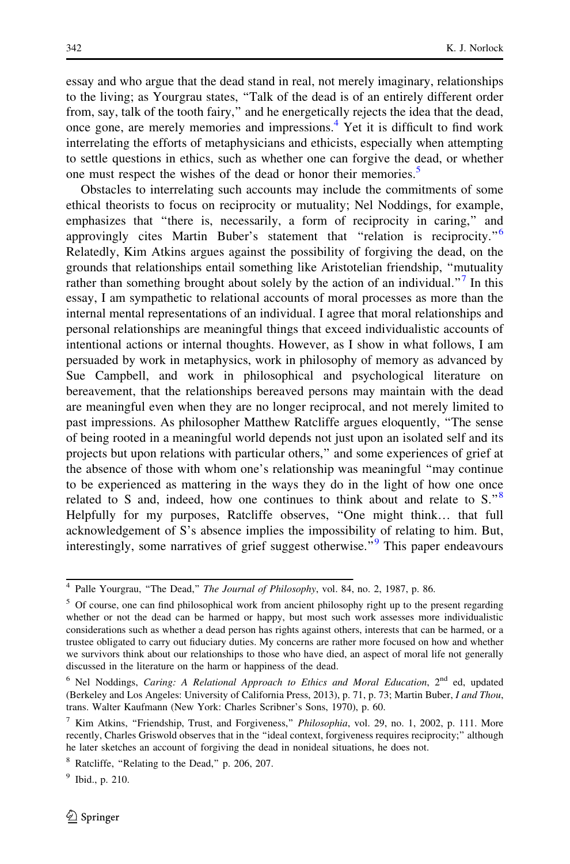essay and who argue that the dead stand in real, not merely imaginary, relationships to the living; as Yourgrau states, ''Talk of the dead is of an entirely different order from, say, talk of the tooth fairy,'' and he energetically rejects the idea that the dead, once gone, are merely memories and impressions.<sup>4</sup> Yet it is difficult to find work interrelating the efforts of metaphysicians and ethicists, especially when attempting to settle questions in ethics, such as whether one can forgive the dead, or whether one must respect the wishes of the dead or honor their memories.<sup>5</sup>

Obstacles to interrelating such accounts may include the commitments of some ethical theorists to focus on reciprocity or mutuality; Nel Noddings, for example, emphasizes that ''there is, necessarily, a form of reciprocity in caring,'' and approvingly cites Martin Buber's statement that "relation is reciprocity."<sup>6</sup> Relatedly, Kim Atkins argues against the possibility of forgiving the dead, on the grounds that relationships entail something like Aristotelian friendship, ''mutuality rather than something brought about solely by the action of an individual. $\cdot$ <sup>7</sup> In this essay, I am sympathetic to relational accounts of moral processes as more than the internal mental representations of an individual. I agree that moral relationships and personal relationships are meaningful things that exceed individualistic accounts of intentional actions or internal thoughts. However, as I show in what follows, I am persuaded by work in metaphysics, work in philosophy of memory as advanced by Sue Campbell, and work in philosophical and psychological literature on bereavement, that the relationships bereaved persons may maintain with the dead are meaningful even when they are no longer reciprocal, and not merely limited to past impressions. As philosopher Matthew Ratcliffe argues eloquently, ''The sense of being rooted in a meaningful world depends not just upon an isolated self and its projects but upon relations with particular others,'' and some experiences of grief at the absence of those with whom one's relationship was meaningful ''may continue to be experienced as mattering in the ways they do in the light of how one once related to S and, indeed, how one continues to think about and relate to  $S^{8}$ . Helpfully for my purposes, Ratcliffe observes, ''One might think… that full acknowledgement of S's absence implies the impossibility of relating to him. But, interestingly, some narratives of grief suggest otherwise.<sup>"9</sup> This paper endeavours

<sup>&</sup>lt;sup>4</sup> Palle Yourgrau, "The Dead," The Journal of Philosophy, vol. 84, no. 2, 1987, p. 86.

<sup>&</sup>lt;sup>5</sup> Of course, one can find philosophical work from ancient philosophy right up to the present regarding whether or not the dead can be harmed or happy, but most such work assesses more individualistic considerations such as whether a dead person has rights against others, interests that can be harmed, or a trustee obligated to carry out fiduciary duties. My concerns are rather more focused on how and whether we survivors think about our relationships to those who have died, an aspect of moral life not generally discussed in the literature on the harm or happiness of the dead.

<sup>&</sup>lt;sup>6</sup> Nel Noddings, *Caring: A Relational Approach to Ethics and Moral Education*,  $2^{nd}$  ed, updated (Berkeley and Los Angeles: University of California Press, 2013), p. 71, p. 73; Martin Buber, I and Thou, trans. Walter Kaufmann (New York: Charles Scribner's Sons, 1970), p. 60.

<sup>&</sup>lt;sup>7</sup> Kim Atkins, "Friendship, Trust, and Forgiveness," Philosophia, vol. 29, no. 1, 2002, p. 111. More recently, Charles Griswold observes that in the ''ideal context, forgiveness requires reciprocity;'' although he later sketches an account of forgiving the dead in nonideal situations, he does not.

<sup>8</sup> Ratcliffe, ''Relating to the Dead,'' p. 206, 207.

 $9$  Ibid., p. 210.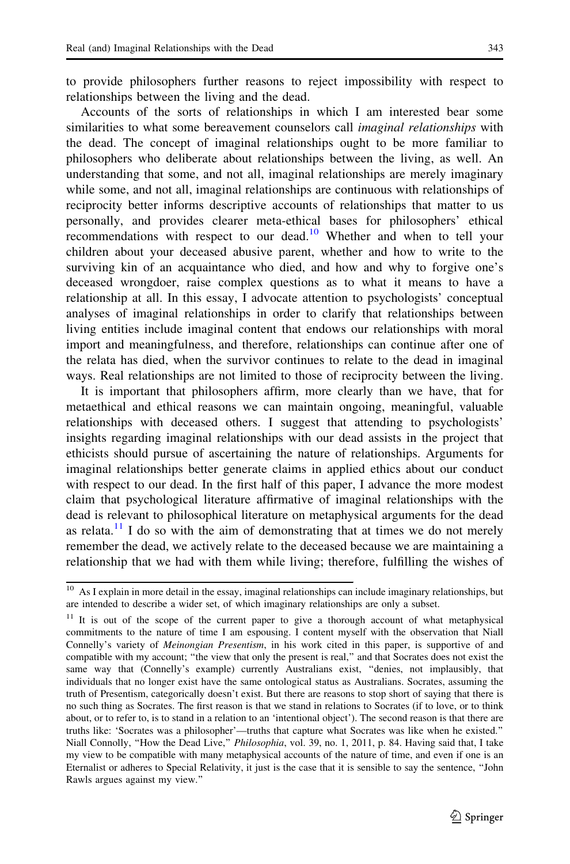to provide philosophers further reasons to reject impossibility with respect to relationships between the living and the dead.

Accounts of the sorts of relationships in which I am interested bear some similarities to what some bereavement counselors call *imaginal relationships* with the dead. The concept of imaginal relationships ought to be more familiar to philosophers who deliberate about relationships between the living, as well. An understanding that some, and not all, imaginal relationships are merely imaginary while some, and not all, imaginal relationships are continuous with relationships of reciprocity better informs descriptive accounts of relationships that matter to us personally, and provides clearer meta-ethical bases for philosophers' ethical recommendations with respect to our dead.<sup>10</sup> Whether and when to tell your children about your deceased abusive parent, whether and how to write to the surviving kin of an acquaintance who died, and how and why to forgive one's deceased wrongdoer, raise complex questions as to what it means to have a relationship at all. In this essay, I advocate attention to psychologists' conceptual analyses of imaginal relationships in order to clarify that relationships between living entities include imaginal content that endows our relationships with moral import and meaningfulness, and therefore, relationships can continue after one of the relata has died, when the survivor continues to relate to the dead in imaginal ways. Real relationships are not limited to those of reciprocity between the living.

It is important that philosophers affirm, more clearly than we have, that for metaethical and ethical reasons we can maintain ongoing, meaningful, valuable relationships with deceased others. I suggest that attending to psychologists' insights regarding imaginal relationships with our dead assists in the project that ethicists should pursue of ascertaining the nature of relationships. Arguments for imaginal relationships better generate claims in applied ethics about our conduct with respect to our dead. In the first half of this paper, I advance the more modest claim that psychological literature affirmative of imaginal relationships with the dead is relevant to philosophical literature on metaphysical arguments for the dead as relata.<sup>11</sup> I do so with the aim of demonstrating that at times we do not merely remember the dead, we actively relate to the deceased because we are maintaining a relationship that we had with them while living; therefore, fulfilling the wishes of

 $10$  As I explain in more detail in the essay, imaginal relationships can include imaginary relationships, but are intended to describe a wider set, of which imaginary relationships are only a subset.

<sup>&</sup>lt;sup>11</sup> It is out of the scope of the current paper to give a thorough account of what metaphysical commitments to the nature of time I am espousing. I content myself with the observation that Niall Connelly's variety of Meinongian Presentism, in his work cited in this paper, is supportive of and compatible with my account; ''the view that only the present is real,'' and that Socrates does not exist the same way that (Connelly's example) currently Australians exist, ''denies, not implausibly, that individuals that no longer exist have the same ontological status as Australians. Socrates, assuming the truth of Presentism, categorically doesn't exist. But there are reasons to stop short of saying that there is no such thing as Socrates. The first reason is that we stand in relations to Socrates (if to love, or to think about, or to refer to, is to stand in a relation to an 'intentional object'). The second reason is that there are truths like: 'Socrates was a philosopher'—truths that capture what Socrates was like when he existed.'' Niall Connolly, "How the Dead Live," Philosophia, vol. 39, no. 1, 2011, p. 84. Having said that, I take my view to be compatible with many metaphysical accounts of the nature of time, and even if one is an Eternalist or adheres to Special Relativity, it just is the case that it is sensible to say the sentence, ''John Rawls argues against my view.''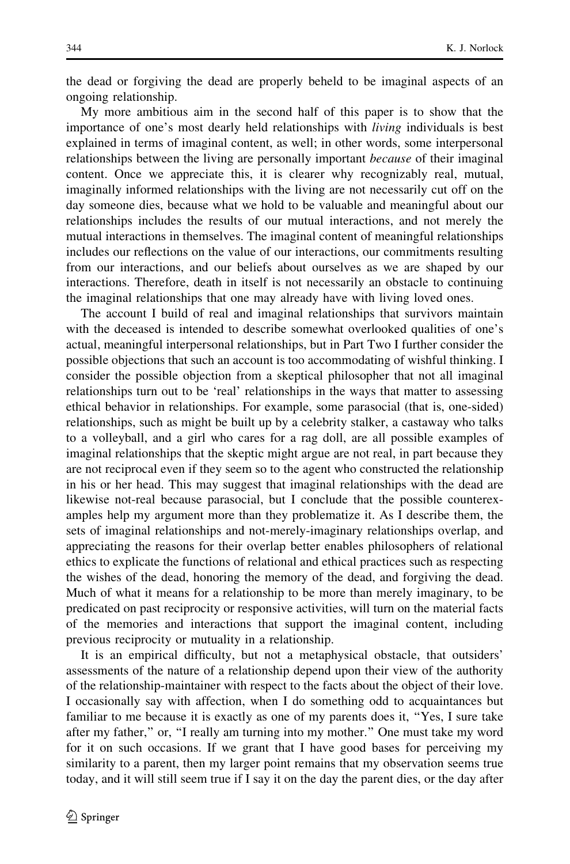the dead or forgiving the dead are properly beheld to be imaginal aspects of an ongoing relationship.

My more ambitious aim in the second half of this paper is to show that the importance of one's most dearly held relationships with living individuals is best explained in terms of imaginal content, as well; in other words, some interpersonal relationships between the living are personally important because of their imaginal content. Once we appreciate this, it is clearer why recognizably real, mutual, imaginally informed relationships with the living are not necessarily cut off on the day someone dies, because what we hold to be valuable and meaningful about our relationships includes the results of our mutual interactions, and not merely the mutual interactions in themselves. The imaginal content of meaningful relationships includes our reflections on the value of our interactions, our commitments resulting from our interactions, and our beliefs about ourselves as we are shaped by our interactions. Therefore, death in itself is not necessarily an obstacle to continuing the imaginal relationships that one may already have with living loved ones.

The account I build of real and imaginal relationships that survivors maintain with the deceased is intended to describe somewhat overlooked qualities of one's actual, meaningful interpersonal relationships, but in Part Two I further consider the possible objections that such an account is too accommodating of wishful thinking. I consider the possible objection from a skeptical philosopher that not all imaginal relationships turn out to be 'real' relationships in the ways that matter to assessing ethical behavior in relationships. For example, some parasocial (that is, one-sided) relationships, such as might be built up by a celebrity stalker, a castaway who talks to a volleyball, and a girl who cares for a rag doll, are all possible examples of imaginal relationships that the skeptic might argue are not real, in part because they are not reciprocal even if they seem so to the agent who constructed the relationship in his or her head. This may suggest that imaginal relationships with the dead are likewise not-real because parasocial, but I conclude that the possible counterexamples help my argument more than they problematize it. As I describe them, the sets of imaginal relationships and not-merely-imaginary relationships overlap, and appreciating the reasons for their overlap better enables philosophers of relational ethics to explicate the functions of relational and ethical practices such as respecting the wishes of the dead, honoring the memory of the dead, and forgiving the dead. Much of what it means for a relationship to be more than merely imaginary, to be predicated on past reciprocity or responsive activities, will turn on the material facts of the memories and interactions that support the imaginal content, including previous reciprocity or mutuality in a relationship.

It is an empirical difficulty, but not a metaphysical obstacle, that outsiders' assessments of the nature of a relationship depend upon their view of the authority of the relationship-maintainer with respect to the facts about the object of their love. I occasionally say with affection, when I do something odd to acquaintances but familiar to me because it is exactly as one of my parents does it, ''Yes, I sure take after my father,'' or, ''I really am turning into my mother.'' One must take my word for it on such occasions. If we grant that I have good bases for perceiving my similarity to a parent, then my larger point remains that my observation seems true today, and it will still seem true if I say it on the day the parent dies, or the day after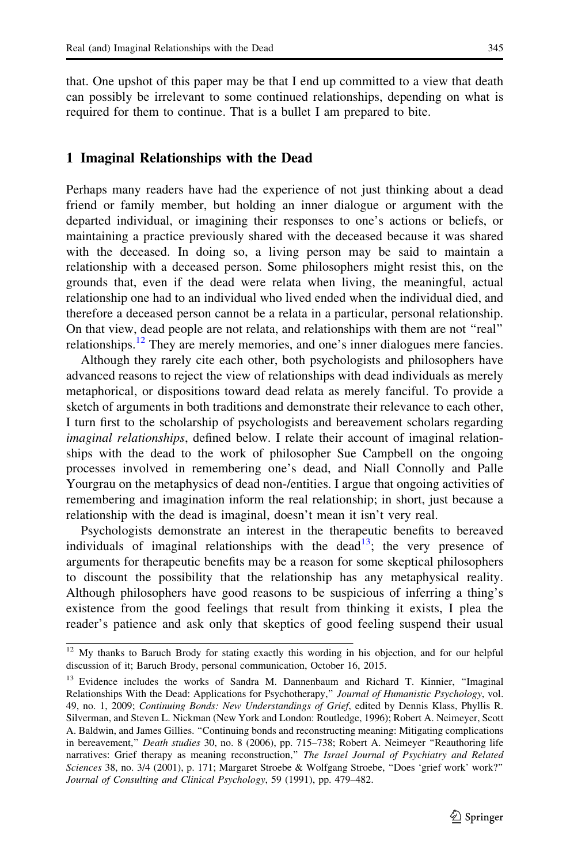that. One upshot of this paper may be that I end up committed to a view that death can possibly be irrelevant to some continued relationships, depending on what is required for them to continue. That is a bullet I am prepared to bite.

## 1 Imaginal Relationships with the Dead

Perhaps many readers have had the experience of not just thinking about a dead friend or family member, but holding an inner dialogue or argument with the departed individual, or imagining their responses to one's actions or beliefs, or maintaining a practice previously shared with the deceased because it was shared with the deceased. In doing so, a living person may be said to maintain a relationship with a deceased person. Some philosophers might resist this, on the grounds that, even if the dead were relata when living, the meaningful, actual relationship one had to an individual who lived ended when the individual died, and therefore a deceased person cannot be a relata in a particular, personal relationship. On that view, dead people are not relata, and relationships with them are not ''real'' relationships.<sup>12</sup> They are merely memories, and one's inner dialogues mere fancies.

Although they rarely cite each other, both psychologists and philosophers have advanced reasons to reject the view of relationships with dead individuals as merely metaphorical, or dispositions toward dead relata as merely fanciful. To provide a sketch of arguments in both traditions and demonstrate their relevance to each other, I turn first to the scholarship of psychologists and bereavement scholars regarding imaginal relationships, defined below. I relate their account of imaginal relationships with the dead to the work of philosopher Sue Campbell on the ongoing processes involved in remembering one's dead, and Niall Connolly and Palle Yourgrau on the metaphysics of dead non-/entities. I argue that ongoing activities of remembering and imagination inform the real relationship; in short, just because a relationship with the dead is imaginal, doesn't mean it isn't very real.

Psychologists demonstrate an interest in the therapeutic benefits to bereaved individuals of imaginal relationships with the dead<sup>13</sup>; the very presence of arguments for therapeutic benefits may be a reason for some skeptical philosophers to discount the possibility that the relationship has any metaphysical reality. Although philosophers have good reasons to be suspicious of inferring a thing's existence from the good feelings that result from thinking it exists, I plea the reader's patience and ask only that skeptics of good feeling suspend their usual

<sup>&</sup>lt;sup>12</sup> My thanks to Baruch Brody for stating exactly this wording in his objection, and for our helpful discussion of it; Baruch Brody, personal communication, October 16, 2015.

<sup>&</sup>lt;sup>13</sup> Evidence includes the works of Sandra M. Dannenbaum and Richard T. Kinnier, "Imaginal Relationships With the Dead: Applications for Psychotherapy," Journal of Humanistic Psychology, vol. 49, no. 1, 2009; Continuing Bonds: New Understandings of Grief, edited by Dennis Klass, Phyllis R. Silverman, and Steven L. Nickman (New York and London: Routledge, 1996); Robert A. Neimeyer, Scott A. Baldwin, and James Gillies. ''Continuing bonds and reconstructing meaning: Mitigating complications in bereavement," Death studies 30, no. 8 (2006), pp. 715-738; Robert A. Neimeyer "Reauthoring life narratives: Grief therapy as meaning reconstruction," The Israel Journal of Psychiatry and Related Sciences 38, no. 3/4 (2001), p. 171; Margaret Stroebe & Wolfgang Stroebe, ''Does 'grief work' work?'' Journal of Consulting and Clinical Psychology, 59 (1991), pp. 479–482.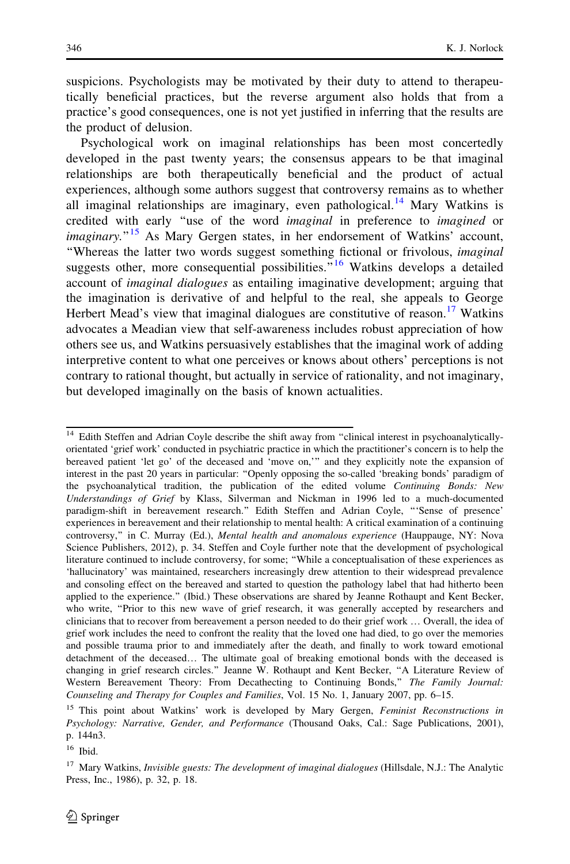suspicions. Psychologists may be motivated by their duty to attend to therapeutically beneficial practices, but the reverse argument also holds that from a practice's good consequences, one is not yet justified in inferring that the results are the product of delusion.

Psychological work on imaginal relationships has been most concertedly developed in the past twenty years; the consensus appears to be that imaginal relationships are both therapeutically beneficial and the product of actual experiences, although some authors suggest that controversy remains as to whether all imaginal relationships are imaginary, even pathological.<sup>14</sup> Mary Watkins is credited with early ''use of the word imaginal in preference to imagined or *imaginary.*<sup>"15</sup> As Mary Gergen states, in her endorsement of Watkins' account, ''Whereas the latter two words suggest something fictional or frivolous, imaginal suggests other, more consequential possibilities.<sup> $16$ </sup> Watkins develops a detailed account of imaginal dialogues as entailing imaginative development; arguing that the imagination is derivative of and helpful to the real, she appeals to George Herbert Mead's view that imaginal dialogues are constitutive of reason.<sup>17</sup> Watkins advocates a Meadian view that self-awareness includes robust appreciation of how others see us, and Watkins persuasively establishes that the imaginal work of adding interpretive content to what one perceives or knows about others' perceptions is not contrary to rational thought, but actually in service of rationality, and not imaginary, but developed imaginally on the basis of known actualities.

<sup>&</sup>lt;sup>14</sup> Edith Steffen and Adrian Coyle describe the shift away from "clinical interest in psychoanalyticallyorientated 'grief work' conducted in psychiatric practice in which the practitioner's concern is to help the bereaved patient 'let go' of the deceased and 'move on,''' and they explicitly note the expansion of interest in the past 20 years in particular: ''Openly opposing the so-called 'breaking bonds' paradigm of the psychoanalytical tradition, the publication of the edited volume Continuing Bonds: New Understandings of Grief by Klass, Silverman and Nickman in 1996 led to a much-documented paradigm-shift in bereavement research.'' Edith Steffen and Adrian Coyle, '''Sense of presence' experiences in bereavement and their relationship to mental health: A critical examination of a continuing controversy," in C. Murray (Ed.), *Mental health and anomalous experience* (Hauppauge, NY: Nova Science Publishers, 2012), p. 34. Steffen and Coyle further note that the development of psychological literature continued to include controversy, for some; ''While a conceptualisation of these experiences as 'hallucinatory' was maintained, researchers increasingly drew attention to their widespread prevalence and consoling effect on the bereaved and started to question the pathology label that had hitherto been applied to the experience.'' (Ibid.) These observations are shared by Jeanne Rothaupt and Kent Becker, who write, "Prior to this new wave of grief research, it was generally accepted by researchers and clinicians that to recover from bereavement a person needed to do their grief work … Overall, the idea of grief work includes the need to confront the reality that the loved one had died, to go over the memories and possible trauma prior to and immediately after the death, and finally to work toward emotional detachment of the deceased… The ultimate goal of breaking emotional bonds with the deceased is changing in grief research circles.'' Jeanne W. Rothaupt and Kent Becker, ''A Literature Review of Western Bereavement Theory: From Decathecting to Continuing Bonds," The Family Journal: Counseling and Therapy for Couples and Families, Vol. 15 No. 1, January 2007, pp. 6–15.

<sup>&</sup>lt;sup>15</sup> This point about Watkins' work is developed by Mary Gergen, Feminist Reconstructions in Psychology: Narrative, Gender, and Performance (Thousand Oaks, Cal.: Sage Publications, 2001), p. 144n3.

<sup>16</sup> Ibid.

 $17$  Mary Watkins, *Invisible guests: The development of imaginal dialogues* (Hillsdale, N.J.: The Analytic Press, Inc., 1986), p. 32, p. 18.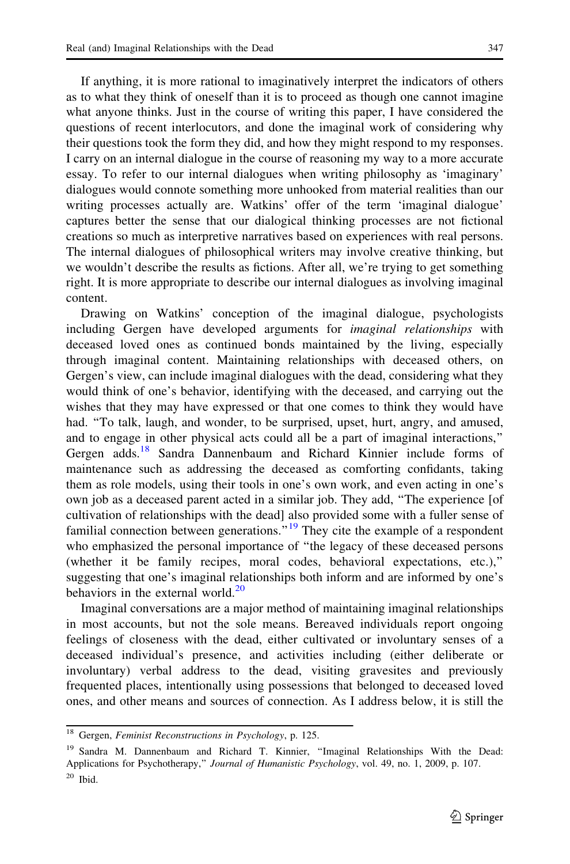If anything, it is more rational to imaginatively interpret the indicators of others as to what they think of oneself than it is to proceed as though one cannot imagine what anyone thinks. Just in the course of writing this paper, I have considered the questions of recent interlocutors, and done the imaginal work of considering why their questions took the form they did, and how they might respond to my responses. I carry on an internal dialogue in the course of reasoning my way to a more accurate essay. To refer to our internal dialogues when writing philosophy as 'imaginary' dialogues would connote something more unhooked from material realities than our writing processes actually are. Watkins' offer of the term 'imaginal dialogue' captures better the sense that our dialogical thinking processes are not fictional creations so much as interpretive narratives based on experiences with real persons. The internal dialogues of philosophical writers may involve creative thinking, but we wouldn't describe the results as fictions. After all, we're trying to get something

content. Drawing on Watkins' conception of the imaginal dialogue, psychologists including Gergen have developed arguments for *imaginal relationships* with deceased loved ones as continued bonds maintained by the living, especially through imaginal content. Maintaining relationships with deceased others, on Gergen's view, can include imaginal dialogues with the dead, considering what they would think of one's behavior, identifying with the deceased, and carrying out the wishes that they may have expressed or that one comes to think they would have had. ''To talk, laugh, and wonder, to be surprised, upset, hurt, angry, and amused, and to engage in other physical acts could all be a part of imaginal interactions,'' Gergen adds.<sup>18</sup> Sandra Dannenbaum and Richard Kinnier include forms of maintenance such as addressing the deceased as comforting confidants, taking them as role models, using their tools in one's own work, and even acting in one's own job as a deceased parent acted in a similar job. They add, ''The experience [of cultivation of relationships with the dead] also provided some with a fuller sense of familial connection between generations."<sup>19</sup> They cite the example of a respondent who emphasized the personal importance of ''the legacy of these deceased persons (whether it be family recipes, moral codes, behavioral expectations, etc.),'' suggesting that one's imaginal relationships both inform and are informed by one's behaviors in the external world. $^{20}$ 

right. It is more appropriate to describe our internal dialogues as involving imaginal

Imaginal conversations are a major method of maintaining imaginal relationships in most accounts, but not the sole means. Bereaved individuals report ongoing feelings of closeness with the dead, either cultivated or involuntary senses of a deceased individual's presence, and activities including (either deliberate or involuntary) verbal address to the dead, visiting gravesites and previously frequented places, intentionally using possessions that belonged to deceased loved ones, and other means and sources of connection. As I address below, it is still the

 $\overline{^{18}}$  Gergen, Feminist Reconstructions in Psychology, p. 125.

<sup>&</sup>lt;sup>19</sup> Sandra M. Dannenbaum and Richard T. Kinnier, "Imaginal Relationships With the Dead: Applications for Psychotherapy," Journal of Humanistic Psychology, vol. 49, no. 1, 2009, p. 107.  $20$  Ibid.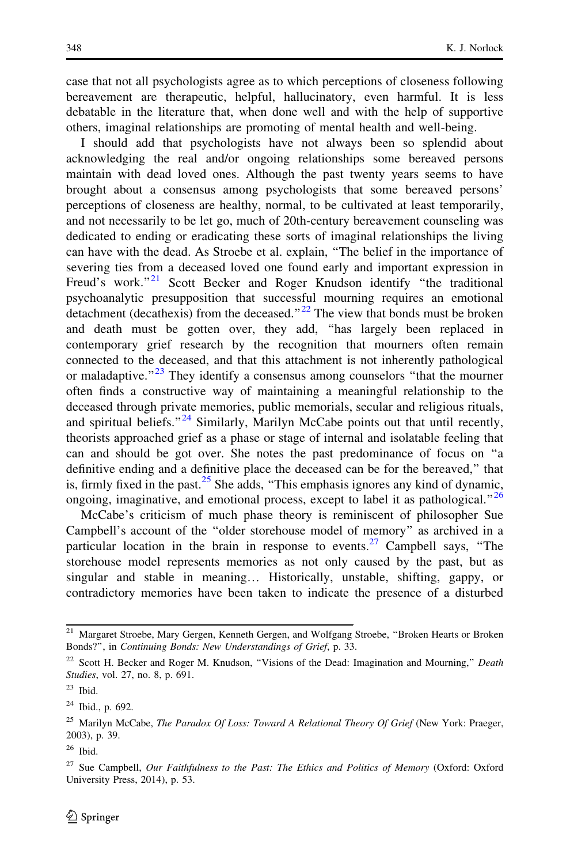case that not all psychologists agree as to which perceptions of closeness following bereavement are therapeutic, helpful, hallucinatory, even harmful. It is less debatable in the literature that, when done well and with the help of supportive others, imaginal relationships are promoting of mental health and well-being.

I should add that psychologists have not always been so splendid about acknowledging the real and/or ongoing relationships some bereaved persons maintain with dead loved ones. Although the past twenty years seems to have brought about a consensus among psychologists that some bereaved persons' perceptions of closeness are healthy, normal, to be cultivated at least temporarily, and not necessarily to be let go, much of 20th-century bereavement counseling was dedicated to ending or eradicating these sorts of imaginal relationships the living can have with the dead. As Stroebe et al. explain, ''The belief in the importance of severing ties from a deceased loved one found early and important expression in Freud's work."<sup>21</sup> Scott Becker and Roger Knudson identify "the traditional psychoanalytic presupposition that successful mourning requires an emotional detachment (decathexis) from the deceased." $^{22}$  The view that bonds must be broken and death must be gotten over, they add, ''has largely been replaced in contemporary grief research by the recognition that mourners often remain connected to the deceased, and that this attachment is not inherently pathological or maladaptive."<sup>23</sup> They identify a consensus among counselors "that the mourner often finds a constructive way of maintaining a meaningful relationship to the deceased through private memories, public memorials, secular and religious rituals, and spiritual beliefs."<sup>24</sup> Similarly, Marilyn McCabe points out that until recently, theorists approached grief as a phase or stage of internal and isolatable feeling that can and should be got over. She notes the past predominance of focus on ''a definitive ending and a definitive place the deceased can be for the bereaved,'' that is, firmly fixed in the past. $25$  She adds, "This emphasis ignores any kind of dynamic, ongoing, imaginative, and emotional process, except to label it as pathological.<sup> $26$ </sup>

McCabe's criticism of much phase theory is reminiscent of philosopher Sue Campbell's account of the ''older storehouse model of memory'' as archived in a particular location in the brain in response to events.<sup>27</sup> Campbell says, "The storehouse model represents memories as not only caused by the past, but as singular and stable in meaning… Historically, unstable, shifting, gappy, or contradictory memories have been taken to indicate the presence of a disturbed

<sup>&</sup>lt;sup>21</sup> Margaret Stroebe, Mary Gergen, Kenneth Gergen, and Wolfgang Stroebe, "Broken Hearts or Broken Bonds?'', in Continuing Bonds: New Understandings of Grief, p. 33.

<sup>&</sup>lt;sup>22</sup> Scott H. Becker and Roger M. Knudson, "Visions of the Dead: Imagination and Mourning," Death Studies, vol. 27, no. 8, p. 691.

 $23$  Ibid.

<sup>24</sup> Ibid., p. 692.

<sup>&</sup>lt;sup>25</sup> Marilyn McCabe, The Paradox Of Loss: Toward A Relational Theory Of Grief (New York: Praeger, 2003), p. 39.

<sup>26</sup> Ibid.

<sup>&</sup>lt;sup>27</sup> Sue Campbell, Our Faithfulness to the Past: The Ethics and Politics of Memory (Oxford: Oxford University Press, 2014), p. 53.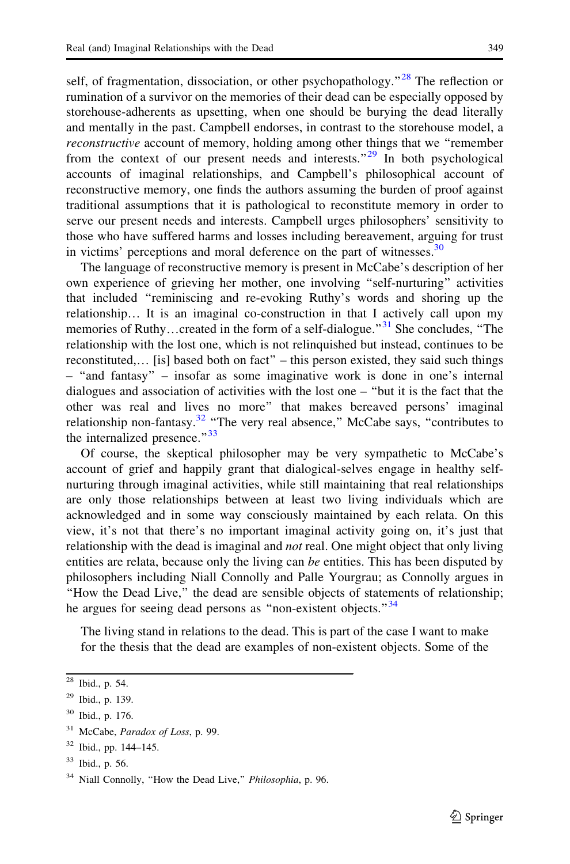self, of fragmentation, dissociation, or other psychopathology.<sup>"28</sup> The reflection or rumination of a survivor on the memories of their dead can be especially opposed by storehouse-adherents as upsetting, when one should be burying the dead literally and mentally in the past. Campbell endorses, in contrast to the storehouse model, a reconstructive account of memory, holding among other things that we ''remember from the context of our present needs and interests.<sup> $29$ </sup> In both psychological accounts of imaginal relationships, and Campbell's philosophical account of reconstructive memory, one finds the authors assuming the burden of proof against traditional assumptions that it is pathological to reconstitute memory in order to serve our present needs and interests. Campbell urges philosophers' sensitivity to those who have suffered harms and losses including bereavement, arguing for trust in victims' perceptions and moral deference on the part of witnesses. $30$ 

The language of reconstructive memory is present in McCabe's description of her own experience of grieving her mother, one involving ''self-nurturing'' activities that included ''reminiscing and re-evoking Ruthy's words and shoring up the relationship… It is an imaginal co-construction in that I actively call upon my memories of Ruthy...created in the form of a self-dialogue.<sup>"31</sup> She concludes, "The relationship with the lost one, which is not relinquished but instead, continues to be reconstituted,… [is] based both on fact'' – this person existed, they said such things – ''and fantasy'' – insofar as some imaginative work is done in one's internal dialogues and association of activities with the lost one – ''but it is the fact that the other was real and lives no more'' that makes bereaved persons' imaginal relationship non-fantasy.<sup>32</sup> "The very real absence," McCabe says, "contributes to the internalized presence."<sup>33</sup>

Of course, the skeptical philosopher may be very sympathetic to McCabe's account of grief and happily grant that dialogical-selves engage in healthy selfnurturing through imaginal activities, while still maintaining that real relationships are only those relationships between at least two living individuals which are acknowledged and in some way consciously maintained by each relata. On this view, it's not that there's no important imaginal activity going on, it's just that relationship with the dead is imaginal and *not* real. One might object that only living entities are relata, because only the living can be entities. This has been disputed by philosophers including Niall Connolly and Palle Yourgrau; as Connolly argues in ''How the Dead Live,'' the dead are sensible objects of statements of relationship; he argues for seeing dead persons as "non-existent objects."<sup>34</sup>

The living stand in relations to the dead. This is part of the case I want to make for the thesis that the dead are examples of non-existent objects. Some of the

 $28$  Ibid., p. 54.

 $29$  Ibid., p. 139.

<sup>30</sup> Ibid., p. 176.

 $31$  McCabe, *Paradox of Loss*, p. 99.

<sup>32</sup> Ibid., pp. 144–145.

<sup>33</sup> Ibid., p. 56.

<sup>&</sup>lt;sup>34</sup> Niall Connolly, "How the Dead Live," Philosophia, p. 96.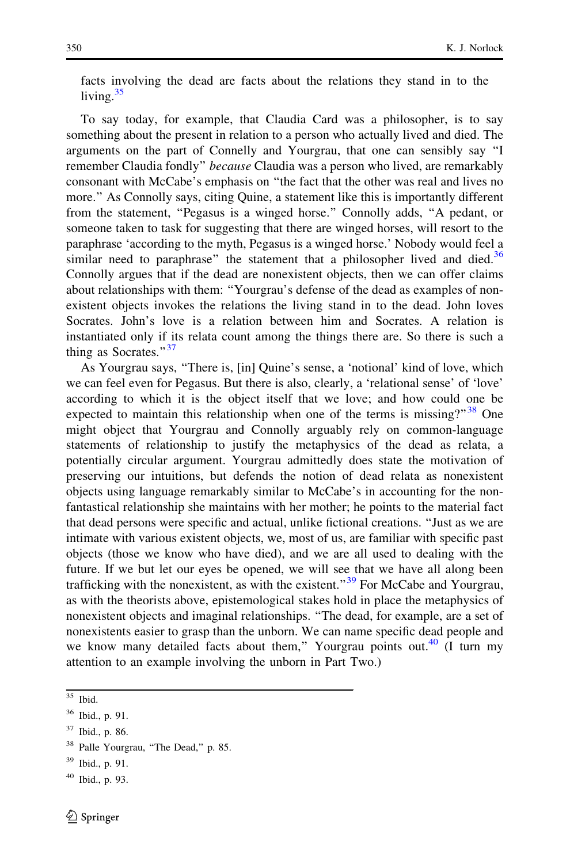facts involving the dead are facts about the relations they stand in to the living. $35$ 

To say today, for example, that Claudia Card was a philosopher, is to say something about the present in relation to a person who actually lived and died. The arguments on the part of Connelly and Yourgrau, that one can sensibly say ''I remember Claudia fondly" because Claudia was a person who lived, are remarkably consonant with McCabe's emphasis on ''the fact that the other was real and lives no more.'' As Connolly says, citing Quine, a statement like this is importantly different from the statement, ''Pegasus is a winged horse.'' Connolly adds, ''A pedant, or someone taken to task for suggesting that there are winged horses, will resort to the paraphrase 'according to the myth, Pegasus is a winged horse.' Nobody would feel a similar need to paraphrase" the statement that a philosopher lived and died.<sup>36</sup> Connolly argues that if the dead are nonexistent objects, then we can offer claims about relationships with them: ''Yourgrau's defense of the dead as examples of nonexistent objects invokes the relations the living stand in to the dead. John loves Socrates. John's love is a relation between him and Socrates. A relation is instantiated only if its relata count among the things there are. So there is such a thing as Socrates." $37$ 

As Yourgrau says, ''There is, [in] Quine's sense, a 'notional' kind of love, which we can feel even for Pegasus. But there is also, clearly, a 'relational sense' of 'love' according to which it is the object itself that we love; and how could one be expected to maintain this relationship when one of the terms is missing?"<sup>38</sup> One might object that Yourgrau and Connolly arguably rely on common-language statements of relationship to justify the metaphysics of the dead as relata, a potentially circular argument. Yourgrau admittedly does state the motivation of preserving our intuitions, but defends the notion of dead relata as nonexistent objects using language remarkably similar to McCabe's in accounting for the nonfantastical relationship she maintains with her mother; he points to the material fact that dead persons were specific and actual, unlike fictional creations. ''Just as we are intimate with various existent objects, we, most of us, are familiar with specific past objects (those we know who have died), and we are all used to dealing with the future. If we but let our eyes be opened, we will see that we have all along been trafficking with the nonexistent, as with the existent."<sup>39</sup> For McCabe and Yourgrau, as with the theorists above, epistemological stakes hold in place the metaphysics of nonexistent objects and imaginal relationships. ''The dead, for example, are a set of nonexistents easier to grasp than the unborn. We can name specific dead people and we know many detailed facts about them," Yourgrau points out. $40$  (I turn my attention to an example involving the unborn in Part Two.)

 $35$  Ibid.

<sup>36</sup> Ibid., p. 91.

<sup>37</sup> Ibid., p. 86.

<sup>&</sup>lt;sup>38</sup> Palle Yourgrau, "The Dead," p. 85.

<sup>39</sup> Ibid., p. 91.

 $40$  Ibid., p. 93.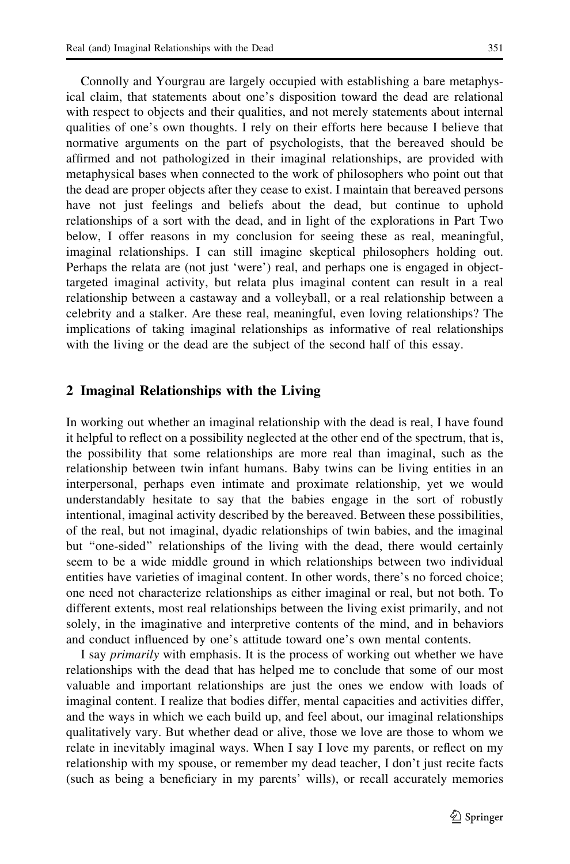Connolly and Yourgrau are largely occupied with establishing a bare metaphysical claim, that statements about one's disposition toward the dead are relational with respect to objects and their qualities, and not merely statements about internal qualities of one's own thoughts. I rely on their efforts here because I believe that normative arguments on the part of psychologists, that the bereaved should be affirmed and not pathologized in their imaginal relationships, are provided with metaphysical bases when connected to the work of philosophers who point out that the dead are proper objects after they cease to exist. I maintain that bereaved persons have not just feelings and beliefs about the dead, but continue to uphold relationships of a sort with the dead, and in light of the explorations in Part Two below, I offer reasons in my conclusion for seeing these as real, meaningful, imaginal relationships. I can still imagine skeptical philosophers holding out. Perhaps the relata are (not just 'were') real, and perhaps one is engaged in objecttargeted imaginal activity, but relata plus imaginal content can result in a real relationship between a castaway and a volleyball, or a real relationship between a celebrity and a stalker. Are these real, meaningful, even loving relationships? The implications of taking imaginal relationships as informative of real relationships with the living or the dead are the subject of the second half of this essay.

## 2 Imaginal Relationships with the Living

In working out whether an imaginal relationship with the dead is real, I have found it helpful to reflect on a possibility neglected at the other end of the spectrum, that is, the possibility that some relationships are more real than imaginal, such as the relationship between twin infant humans. Baby twins can be living entities in an interpersonal, perhaps even intimate and proximate relationship, yet we would understandably hesitate to say that the babies engage in the sort of robustly intentional, imaginal activity described by the bereaved. Between these possibilities, of the real, but not imaginal, dyadic relationships of twin babies, and the imaginal but ''one-sided'' relationships of the living with the dead, there would certainly seem to be a wide middle ground in which relationships between two individual entities have varieties of imaginal content. In other words, there's no forced choice; one need not characterize relationships as either imaginal or real, but not both. To different extents, most real relationships between the living exist primarily, and not solely, in the imaginative and interpretive contents of the mind, and in behaviors and conduct influenced by one's attitude toward one's own mental contents.

I say primarily with emphasis. It is the process of working out whether we have relationships with the dead that has helped me to conclude that some of our most valuable and important relationships are just the ones we endow with loads of imaginal content. I realize that bodies differ, mental capacities and activities differ, and the ways in which we each build up, and feel about, our imaginal relationships qualitatively vary. But whether dead or alive, those we love are those to whom we relate in inevitably imaginal ways. When I say I love my parents, or reflect on my relationship with my spouse, or remember my dead teacher, I don't just recite facts (such as being a beneficiary in my parents' wills), or recall accurately memories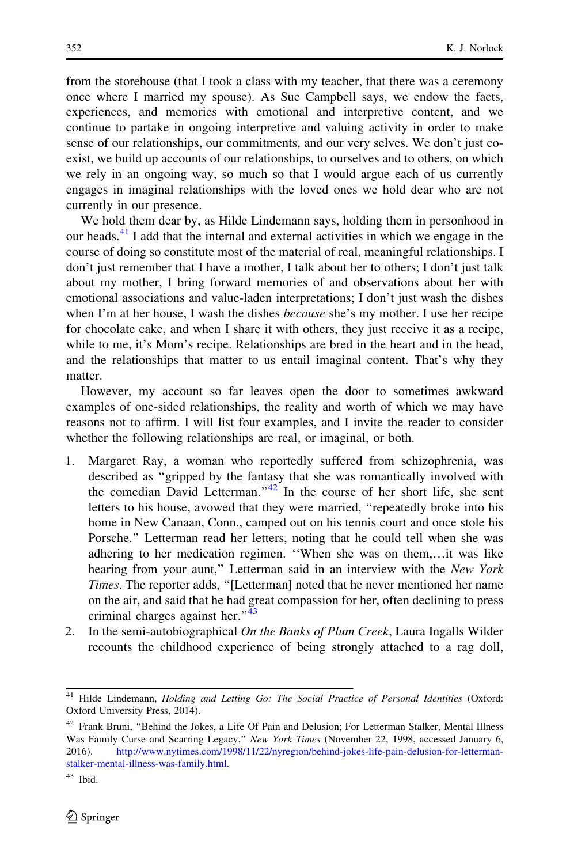from the storehouse (that I took a class with my teacher, that there was a ceremony once where I married my spouse). As Sue Campbell says, we endow the facts, experiences, and memories with emotional and interpretive content, and we continue to partake in ongoing interpretive and valuing activity in order to make sense of our relationships, our commitments, and our very selves. We don't just coexist, we build up accounts of our relationships, to ourselves and to others, on which we rely in an ongoing way, so much so that I would argue each of us currently engages in imaginal relationships with the loved ones we hold dear who are not currently in our presence.

We hold them dear by, as Hilde Lindemann says, holding them in personhood in our heads.<sup>41</sup> I add that the internal and external activities in which we engage in the course of doing so constitute most of the material of real, meaningful relationships. I don't just remember that I have a mother, I talk about her to others; I don't just talk about my mother, I bring forward memories of and observations about her with emotional associations and value-laden interpretations; I don't just wash the dishes when I'm at her house, I wash the dishes *because* she's my mother. I use her recipe for chocolate cake, and when I share it with others, they just receive it as a recipe, while to me, it's Mom's recipe. Relationships are bred in the heart and in the head, and the relationships that matter to us entail imaginal content. That's why they matter.

However, my account so far leaves open the door to sometimes awkward examples of one-sided relationships, the reality and worth of which we may have reasons not to affirm. I will list four examples, and I invite the reader to consider whether the following relationships are real, or imaginal, or both.

- 1. Margaret Ray, a woman who reportedly suffered from schizophrenia, was described as ''gripped by the fantasy that she was romantically involved with the comedian David Letterman." $42$  In the course of her short life, she sent letters to his house, avowed that they were married, ''repeatedly broke into his home in New Canaan, Conn., camped out on his tennis court and once stole his Porsche.'' Letterman read her letters, noting that he could tell when she was adhering to her medication regimen. ''When she was on them,…it was like hearing from your aunt," Letterman said in an interview with the New York Times. The reporter adds, ''[Letterman] noted that he never mentioned her name on the air, and said that he had great compassion for her, often declining to press criminal charges against her."<sup>43</sup>
- 2. In the semi-autobiographical *On the Banks of Plum Creek*, Laura Ingalls Wilder recounts the childhood experience of being strongly attached to a rag doll,

<sup>&</sup>lt;sup>41</sup> Hilde Lindemann, *Holding and Letting Go: The Social Practice of Personal Identities (Oxford:* Oxford University Press, 2014).

<sup>&</sup>lt;sup>42</sup> Frank Bruni, "Behind the Jokes, a Life Of Pain and Delusion; For Letterman Stalker, Mental Illness Was Family Curse and Scarring Legacy," New York Times (November 22, 1998, accessed January 6, 2016). [http://www.nytimes.com/1998/11/22/nyregion/behind-jokes-life-pain-delusion-for-letterman](http://www.nytimes.com/1998/11/22/nyregion/behind-jokes-life-pain-delusion-for-letterman-stalker-mental-illness-was-family.html)[stalker-mental-illness-was-family.html.](http://www.nytimes.com/1998/11/22/nyregion/behind-jokes-life-pain-delusion-for-letterman-stalker-mental-illness-was-family.html)

<sup>43</sup> Ibid.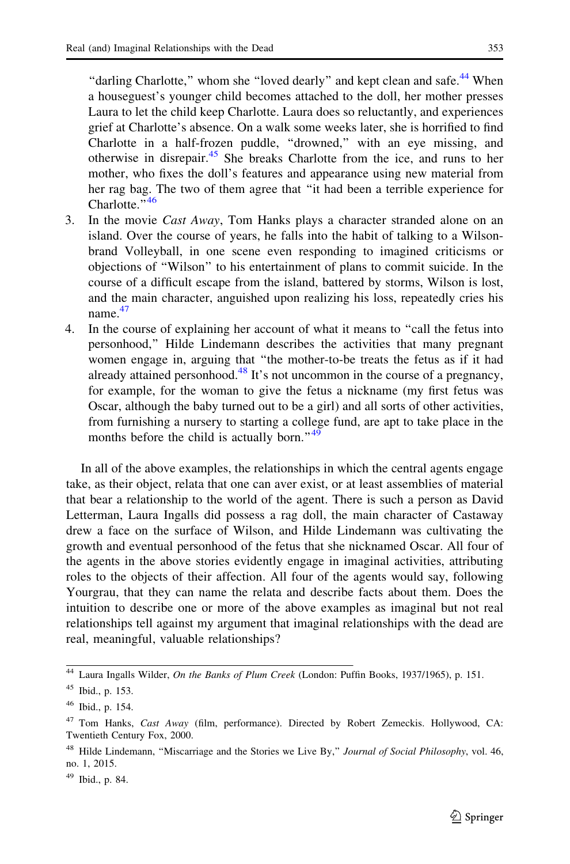"darling Charlotte," whom she "loved dearly" and kept clean and safe.<sup>44</sup> When a houseguest's younger child becomes attached to the doll, her mother presses Laura to let the child keep Charlotte. Laura does so reluctantly, and experiences grief at Charlotte's absence. On a walk some weeks later, she is horrified to find Charlotte in a half-frozen puddle, ''drowned,'' with an eye missing, and otherwise in disrepair.<sup>45</sup> She breaks Charlotte from the ice, and runs to her mother, who fixes the doll's features and appearance using new material from her rag bag. The two of them agree that ''it had been a terrible experience for Charlotte<sup>"46</sup>

- 3. In the movie Cast Away, Tom Hanks plays a character stranded alone on an island. Over the course of years, he falls into the habit of talking to a Wilsonbrand Volleyball, in one scene even responding to imagined criticisms or objections of ''Wilson'' to his entertainment of plans to commit suicide. In the course of a difficult escape from the island, battered by storms, Wilson is lost, and the main character, anguished upon realizing his loss, repeatedly cries his name.<sup>47</sup>
- 4. In the course of explaining her account of what it means to ''call the fetus into personhood,'' Hilde Lindemann describes the activities that many pregnant women engage in, arguing that ''the mother-to-be treats the fetus as if it had already attained personhood.<sup>48</sup> It's not uncommon in the course of a pregnancy, for example, for the woman to give the fetus a nickname (my first fetus was Oscar, although the baby turned out to be a girl) and all sorts of other activities, from furnishing a nursery to starting a college fund, are apt to take place in the months before the child is actually born." $49$

In all of the above examples, the relationships in which the central agents engage take, as their object, relata that one can aver exist, or at least assemblies of material that bear a relationship to the world of the agent. There is such a person as David Letterman, Laura Ingalls did possess a rag doll, the main character of Castaway drew a face on the surface of Wilson, and Hilde Lindemann was cultivating the growth and eventual personhood of the fetus that she nicknamed Oscar. All four of the agents in the above stories evidently engage in imaginal activities, attributing roles to the objects of their affection. All four of the agents would say, following Yourgrau, that they can name the relata and describe facts about them. Does the intuition to describe one or more of the above examples as imaginal but not real relationships tell against my argument that imaginal relationships with the dead are real, meaningful, valuable relationships?

 $49$  Ibid., p. 84.

<sup>&</sup>lt;sup>44</sup> Laura Ingalls Wilder, On the Banks of Plum Creek (London: Puffin Books, 1937/1965), p. 151.

<sup>45</sup> Ibid., p. 153.

<sup>46</sup> Ibid., p. 154.

<sup>&</sup>lt;sup>47</sup> Tom Hanks, *Cast Away* (film, performance). Directed by Robert Zemeckis. Hollywood, CA: Twentieth Century Fox, 2000.

<sup>&</sup>lt;sup>48</sup> Hilde Lindemann, "Miscarriage and the Stories we Live By," Journal of Social Philosophy, vol. 46, no. 1, 2015.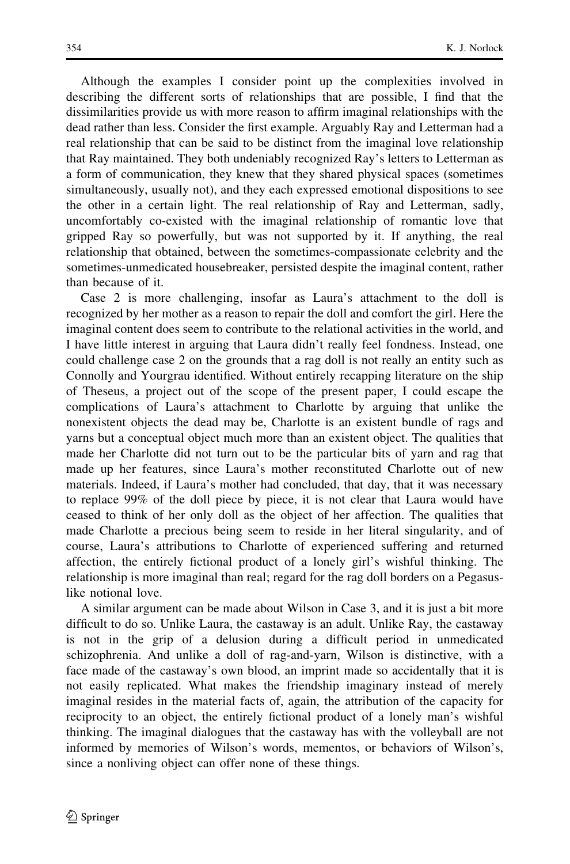Although the examples I consider point up the complexities involved in describing the different sorts of relationships that are possible, I find that the dissimilarities provide us with more reason to affirm imaginal relationships with the dead rather than less. Consider the first example. Arguably Ray and Letterman had a real relationship that can be said to be distinct from the imaginal love relationship that Ray maintained. They both undeniably recognized Ray's letters to Letterman as a form of communication, they knew that they shared physical spaces (sometimes simultaneously, usually not), and they each expressed emotional dispositions to see the other in a certain light. The real relationship of Ray and Letterman, sadly, uncomfortably co-existed with the imaginal relationship of romantic love that gripped Ray so powerfully, but was not supported by it. If anything, the real relationship that obtained, between the sometimes-compassionate celebrity and the sometimes-unmedicated housebreaker, persisted despite the imaginal content, rather than because of it.

Case 2 is more challenging, insofar as Laura's attachment to the doll is recognized by her mother as a reason to repair the doll and comfort the girl. Here the imaginal content does seem to contribute to the relational activities in the world, and I have little interest in arguing that Laura didn't really feel fondness. Instead, one could challenge case 2 on the grounds that a rag doll is not really an entity such as Connolly and Yourgrau identified. Without entirely recapping literature on the ship of Theseus, a project out of the scope of the present paper, I could escape the complications of Laura's attachment to Charlotte by arguing that unlike the nonexistent objects the dead may be, Charlotte is an existent bundle of rags and yarns but a conceptual object much more than an existent object. The qualities that made her Charlotte did not turn out to be the particular bits of yarn and rag that made up her features, since Laura's mother reconstituted Charlotte out of new materials. Indeed, if Laura's mother had concluded, that day, that it was necessary to replace 99% of the doll piece by piece, it is not clear that Laura would have ceased to think of her only doll as the object of her affection. The qualities that made Charlotte a precious being seem to reside in her literal singularity, and of course, Laura's attributions to Charlotte of experienced suffering and returned affection, the entirely fictional product of a lonely girl's wishful thinking. The relationship is more imaginal than real; regard for the rag doll borders on a Pegasuslike notional love.

A similar argument can be made about Wilson in Case 3, and it is just a bit more difficult to do so. Unlike Laura, the castaway is an adult. Unlike Ray, the castaway is not in the grip of a delusion during a difficult period in unmedicated schizophrenia. And unlike a doll of rag-and-yarn, Wilson is distinctive, with a face made of the castaway's own blood, an imprint made so accidentally that it is not easily replicated. What makes the friendship imaginary instead of merely imaginal resides in the material facts of, again, the attribution of the capacity for reciprocity to an object, the entirely fictional product of a lonely man's wishful thinking. The imaginal dialogues that the castaway has with the volleyball are not informed by memories of Wilson's words, mementos, or behaviors of Wilson's, since a nonliving object can offer none of these things.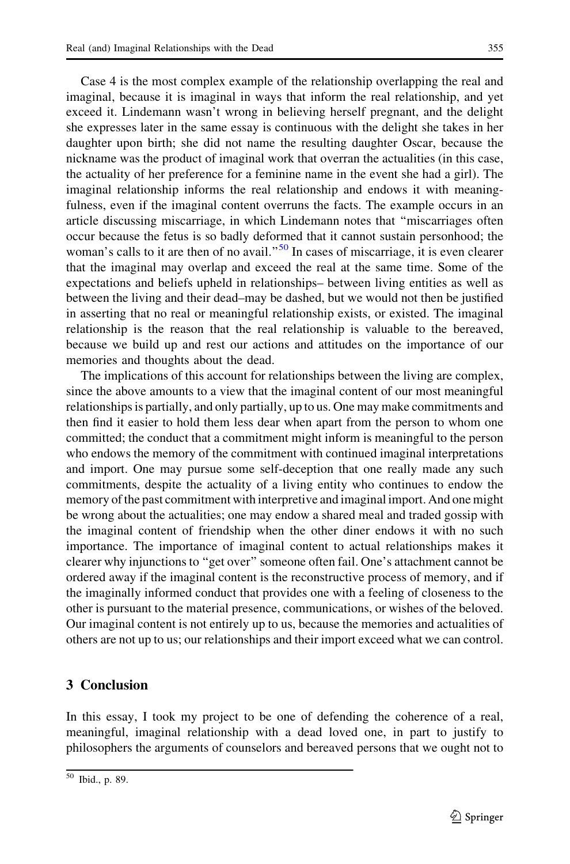Case 4 is the most complex example of the relationship overlapping the real and imaginal, because it is imaginal in ways that inform the real relationship, and yet exceed it. Lindemann wasn't wrong in believing herself pregnant, and the delight she expresses later in the same essay is continuous with the delight she takes in her daughter upon birth; she did not name the resulting daughter Oscar, because the nickname was the product of imaginal work that overran the actualities (in this case, the actuality of her preference for a feminine name in the event she had a girl). The imaginal relationship informs the real relationship and endows it with meaningfulness, even if the imaginal content overruns the facts. The example occurs in an article discussing miscarriage, in which Lindemann notes that ''miscarriages often occur because the fetus is so badly deformed that it cannot sustain personhood; the woman's calls to it are then of no avail."<sup>50</sup> In cases of miscarriage, it is even clearer that the imaginal may overlap and exceed the real at the same time. Some of the expectations and beliefs upheld in relationships– between living entities as well as between the living and their dead–may be dashed, but we would not then be justified in asserting that no real or meaningful relationship exists, or existed. The imaginal relationship is the reason that the real relationship is valuable to the bereaved, because we build up and rest our actions and attitudes on the importance of our memories and thoughts about the dead.

The implications of this account for relationships between the living are complex, since the above amounts to a view that the imaginal content of our most meaningful relationships is partially, and only partially, up to us. One may make commitments and then find it easier to hold them less dear when apart from the person to whom one committed; the conduct that a commitment might inform is meaningful to the person who endows the memory of the commitment with continued imaginal interpretations and import. One may pursue some self-deception that one really made any such commitments, despite the actuality of a living entity who continues to endow the memory of the past commitment with interpretive and imaginal import. And one might be wrong about the actualities; one may endow a shared meal and traded gossip with the imaginal content of friendship when the other diner endows it with no such importance. The importance of imaginal content to actual relationships makes it clearer why injunctions to ''get over'' someone often fail. One's attachment cannot be ordered away if the imaginal content is the reconstructive process of memory, and if the imaginally informed conduct that provides one with a feeling of closeness to the other is pursuant to the material presence, communications, or wishes of the beloved. Our imaginal content is not entirely up to us, because the memories and actualities of others are not up to us; our relationships and their import exceed what we can control.

## 3 Conclusion

In this essay, I took my project to be one of defending the coherence of a real, meaningful, imaginal relationship with a dead loved one, in part to justify to philosophers the arguments of counselors and bereaved persons that we ought not to

<sup>50</sup> Ibid., p. 89.